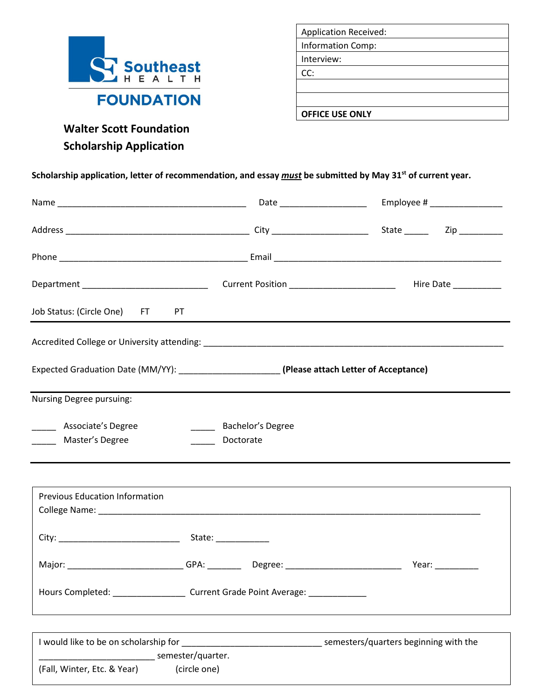

| <b>Application Received:</b> |
|------------------------------|
| <b>Information Comp:</b>     |
| Interview:                   |
| CC:                          |
|                              |
|                              |
| <b>OFFICE USE ONLY</b>       |

## **Walter Scott Foundation Scholarship Application**

Scholarship application, letter of recommendation, and essay *must* be submitted by May 31<sup>st</sup> of current year.

|                                                                                                         |                              |                                       | Employee # ________________                            |  |
|---------------------------------------------------------------------------------------------------------|------------------------------|---------------------------------------|--------------------------------------------------------|--|
|                                                                                                         |                              |                                       |                                                        |  |
|                                                                                                         |                              |                                       |                                                        |  |
|                                                                                                         |                              |                                       |                                                        |  |
| Job Status: (Circle One) FT PT                                                                          |                              |                                       |                                                        |  |
|                                                                                                         |                              |                                       |                                                        |  |
| Expected Graduation Date (MM/YY): ________________________________ (Please attach Letter of Acceptance) |                              |                                       |                                                        |  |
| Nursing Degree pursuing:                                                                                |                              |                                       |                                                        |  |
| _______ Associate's Degree                                                                              | <b>Bachelor's Degree</b>     |                                       |                                                        |  |
| _____ Master's Degree                                                                                   | Doctorate                    |                                       |                                                        |  |
|                                                                                                         |                              |                                       |                                                        |  |
| <b>Previous Education Information</b>                                                                   |                              |                                       |                                                        |  |
|                                                                                                         |                              |                                       |                                                        |  |
| Major: ____________________________GPA: __________ Degree: ____________________________                 |                              |                                       | Year: $\frac{1}{\sqrt{1-\frac{1}{2}}\cdot\frac{1}{2}}$ |  |
| Hours Completed: ______________                                                                         | Current Grade Point Average: |                                       |                                                        |  |
| I would like to be on scholarship for<br>semester/quarter.                                              |                              | semesters/quarters beginning with the |                                                        |  |
| (Fall, Winter, Etc. & Year)<br>(circle one)                                                             |                              |                                       |                                                        |  |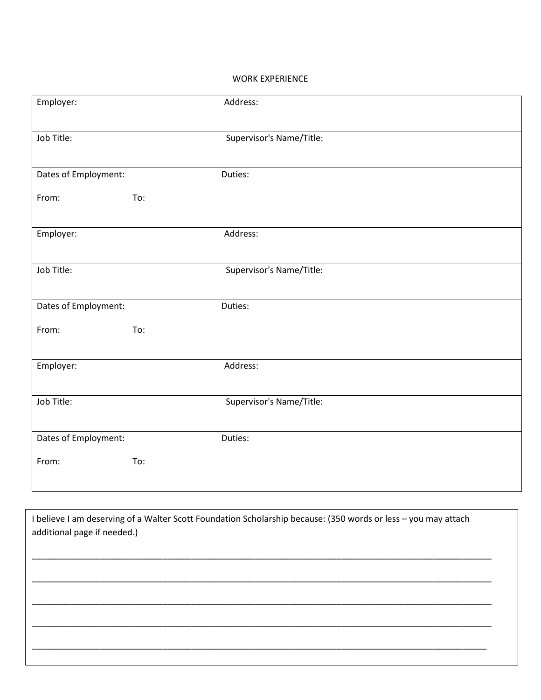## WORK EXPERIENCE

| Employer:            |     | Address:                 |
|----------------------|-----|--------------------------|
| Job Title:           |     | Supervisor's Name/Title: |
| Dates of Employment: |     | Duties:                  |
| From:                | To: |                          |
| Employer:            |     | Address:                 |
| Job Title:           |     | Supervisor's Name/Title: |
| Dates of Employment: |     | Duties:                  |
| From:                | To: |                          |
| Employer:            |     | Address:                 |
| Job Title:           |     | Supervisor's Name/Title: |
| Dates of Employment: |     | Duties:                  |
| From:                | To: |                          |

I believe I am deserving of a Walter Scott Foundation Scholarship because: (350 words or less – you may attach additional page if needed.)

\_\_\_\_\_\_\_\_\_\_\_\_\_\_\_\_\_\_\_\_\_\_\_\_\_\_\_\_\_\_\_\_\_\_\_\_\_\_\_\_\_\_\_\_\_\_\_\_\_\_\_\_\_\_\_\_\_\_\_\_\_\_\_\_\_\_\_\_\_\_\_\_\_\_\_\_\_\_\_\_\_\_\_\_\_\_\_\_\_\_\_\_\_\_\_

\_\_\_\_\_\_\_\_\_\_\_\_\_\_\_\_\_\_\_\_\_\_\_\_\_\_\_\_\_\_\_\_\_\_\_\_\_\_\_\_\_\_\_\_\_\_\_\_\_\_\_\_\_\_\_\_\_\_\_\_\_\_\_\_\_\_\_\_\_\_\_\_\_\_\_\_\_\_\_\_\_\_\_\_\_\_\_\_\_\_\_\_\_\_\_

\_\_\_\_\_\_\_\_\_\_\_\_\_\_\_\_\_\_\_\_\_\_\_\_\_\_\_\_\_\_\_\_\_\_\_\_\_\_\_\_\_\_\_\_\_\_\_\_\_\_\_\_\_\_\_\_\_\_\_\_\_\_\_\_\_\_\_\_\_\_\_\_\_\_\_\_\_\_\_\_\_\_\_\_\_\_\_\_\_\_\_\_\_\_\_

\_\_\_\_\_\_\_\_\_\_\_\_\_\_\_\_\_\_\_\_\_\_\_\_\_\_\_\_\_\_\_\_\_\_\_\_\_\_\_\_\_\_\_\_\_\_\_\_\_\_\_\_\_\_\_\_\_\_\_\_\_\_\_\_\_\_\_\_\_\_\_\_\_\_\_\_\_\_\_\_\_\_\_\_\_\_\_\_\_\_\_\_\_\_\_

\_\_\_\_\_\_\_\_\_\_\_\_\_\_\_\_\_\_\_\_\_\_\_\_\_\_\_\_\_\_\_\_\_\_\_\_\_\_\_\_\_\_\_\_\_\_\_\_\_\_\_\_\_\_\_\_\_\_\_\_\_\_\_\_\_\_\_\_\_\_\_\_\_\_\_\_\_\_\_\_\_\_\_\_\_\_\_\_\_\_\_\_\_\_